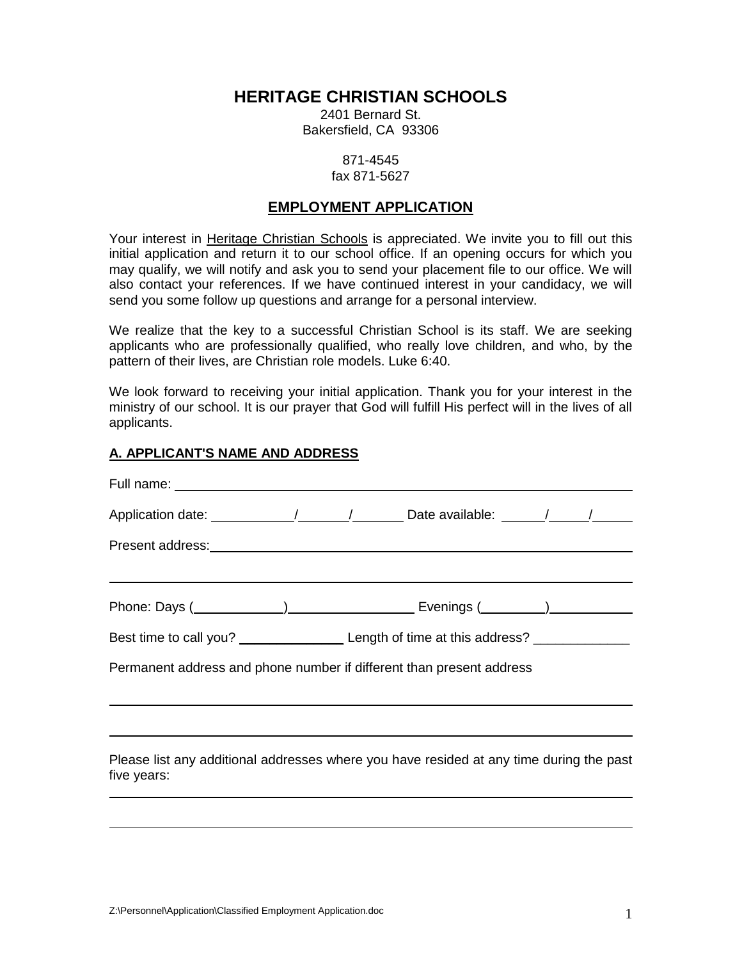# **HERITAGE CHRISTIAN SCHOOLS**

2401 Bernard St. Bakersfield, CA 93306

#### 871-4545 fax 871-5627

# **EMPLOYMENT APPLICATION**

Your interest in Heritage Christian Schools is appreciated. We invite you to fill out this initial application and return it to our school office. If an opening occurs for which you may qualify, we will notify and ask you to send your placement file to our office. We will also contact your references. If we have continued interest in your candidacy, we will send you some follow up questions and arrange for a personal interview.

We realize that the key to a successful Christian School is its staff. We are seeking applicants who are professionally qualified, who really love children, and who, by the pattern of their lives, are Christian role models. Luke 6:40.

We look forward to receiving your initial application. Thank you for your interest in the ministry of our school. It is our prayer that God will fulfill His perfect will in the lives of all applicants.

### **A. APPLICANT'S NAME AND ADDRESS**

| Best time to call you? ________________________Length of time at this address? ____________________    |
|--------------------------------------------------------------------------------------------------------|
| Permanent address and phone number if different than present address                                   |
|                                                                                                        |
|                                                                                                        |
| Please list any additional addresses where you have resided at any time during the past<br>five years: |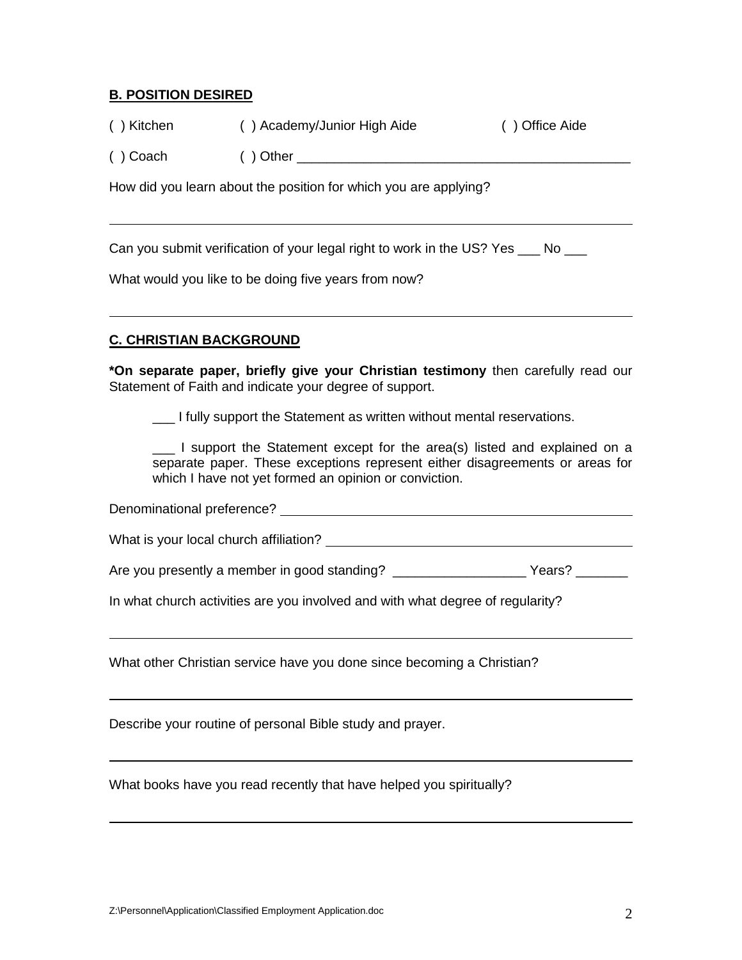# **B. POSITION DESIRED**

| () Kitchen | () Academy/Junior High Aide | () Office Aide |
|------------|-----------------------------|----------------|
| () Coach   | $( )$ Other                 |                |

How did you learn about the position for which you are applying?

Can you submit verification of your legal right to work in the US? Yes No

What would you like to be doing five years from now?

# **C. CHRISTIAN BACKGROUND**

**\*On separate paper, briefly give your Christian testimony** then carefully read our Statement of Faith and indicate your degree of support.

\_\_\_ I fully support the Statement as written without mental reservations.

\_\_\_ I support the Statement except for the area(s) listed and explained on a separate paper. These exceptions represent either disagreements or areas for which I have not yet formed an opinion or conviction.

Denominational preference?

What is your local church affiliation?

Are you presently a member in good standing? \_\_\_\_\_\_\_\_\_\_\_\_\_\_\_\_\_\_\_\_\_\_\_\_Years? \_\_\_\_\_\_\_\_

In what church activities are you involved and with what degree of regularity?

What other Christian service have you done since becoming a Christian?

Describe your routine of personal Bible study and prayer.

What books have you read recently that have helped you spiritually?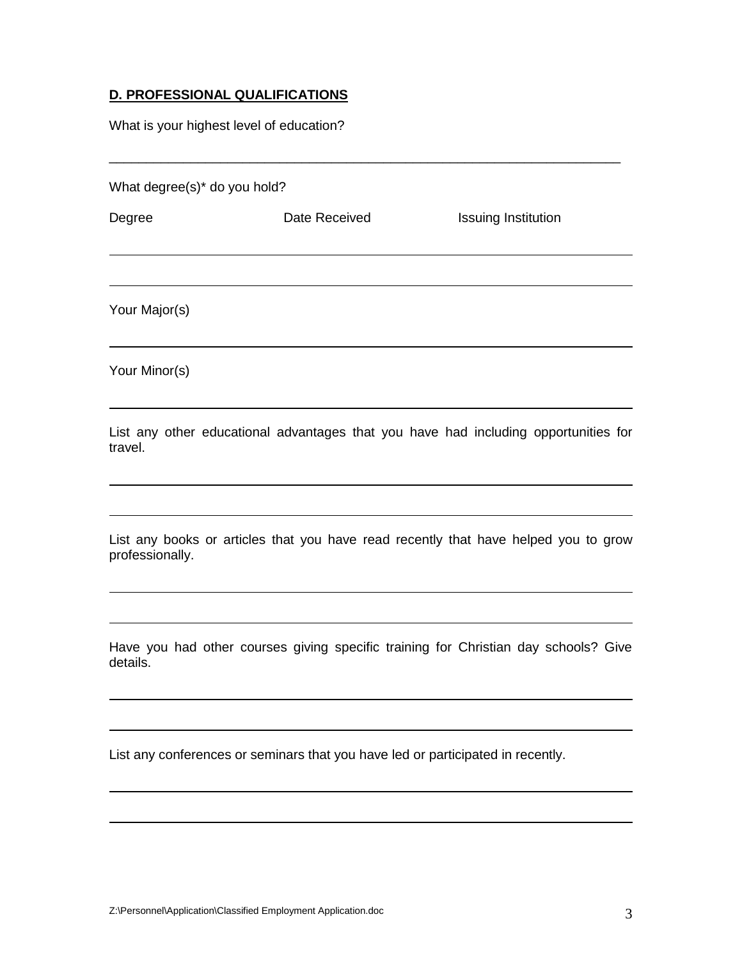# **D. PROFESSIONAL QUALIFICATIONS**

What is your highest level of education?

What degree(s)\* do you hold?

Degree **Date Received** Issuing Institution Your Major(s)

\_\_\_\_\_\_\_\_\_\_\_\_\_\_\_\_\_\_\_\_\_\_\_\_\_\_\_\_\_\_\_\_\_\_\_\_\_\_\_\_\_\_\_\_\_\_\_\_\_\_\_\_\_\_\_\_\_\_\_\_\_\_\_\_\_\_\_\_\_

Your Minor(s)

List any other educational advantages that you have had including opportunities for travel.

List any books or articles that you have read recently that have helped you to grow professionally.

Have you had other courses giving specific training for Christian day schools? Give details.

List any conferences or seminars that you have led or participated in recently.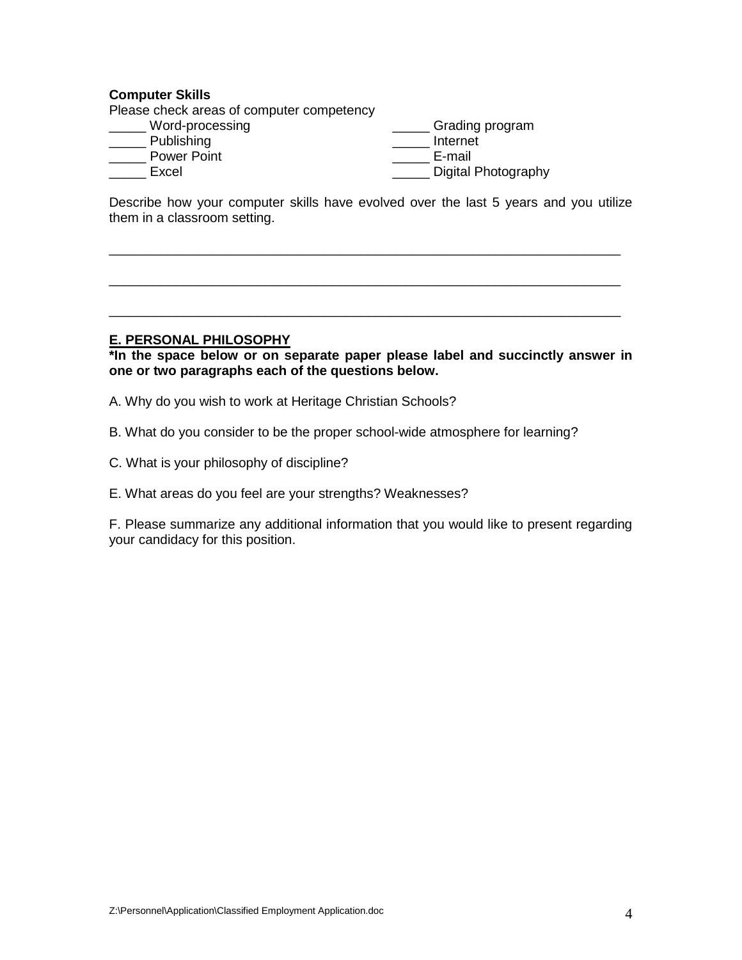### **Computer Skills**

Please check areas of computer competency

- \_\_\_\_\_ Word-processing
- \_\_\_\_\_ Publishing
- \_\_\_\_\_ Power Point
- \_\_\_\_\_ Excel

\_\_\_\_\_ Internet \_\_\_\_\_ E-mail **\_\_\_\_\_** Digital Photography

\_\_\_\_\_ Grading program

Describe how your computer skills have evolved over the last 5 years and you utilize them in a classroom setting.

\_\_\_\_\_\_\_\_\_\_\_\_\_\_\_\_\_\_\_\_\_\_\_\_\_\_\_\_\_\_\_\_\_\_\_\_\_\_\_\_\_\_\_\_\_\_\_\_\_\_\_\_\_\_\_\_\_\_\_\_\_\_\_\_\_\_\_\_\_

\_\_\_\_\_\_\_\_\_\_\_\_\_\_\_\_\_\_\_\_\_\_\_\_\_\_\_\_\_\_\_\_\_\_\_\_\_\_\_\_\_\_\_\_\_\_\_\_\_\_\_\_\_\_\_\_\_\_\_\_\_\_\_\_\_\_\_\_\_

\_\_\_\_\_\_\_\_\_\_\_\_\_\_\_\_\_\_\_\_\_\_\_\_\_\_\_\_\_\_\_\_\_\_\_\_\_\_\_\_\_\_\_\_\_\_\_\_\_\_\_\_\_\_\_\_\_\_\_\_\_\_\_\_\_\_\_\_\_

#### **E. PERSONAL PHILOSOPHY**

**\*In the space below or on separate paper please label and succinctly answer in one or two paragraphs each of the questions below.**

- A. Why do you wish to work at Heritage Christian Schools?
- B. What do you consider to be the proper school-wide atmosphere for learning?
- C. What is your philosophy of discipline?
- E. What areas do you feel are your strengths? Weaknesses?

F. Please summarize any additional information that you would like to present regarding your candidacy for this position.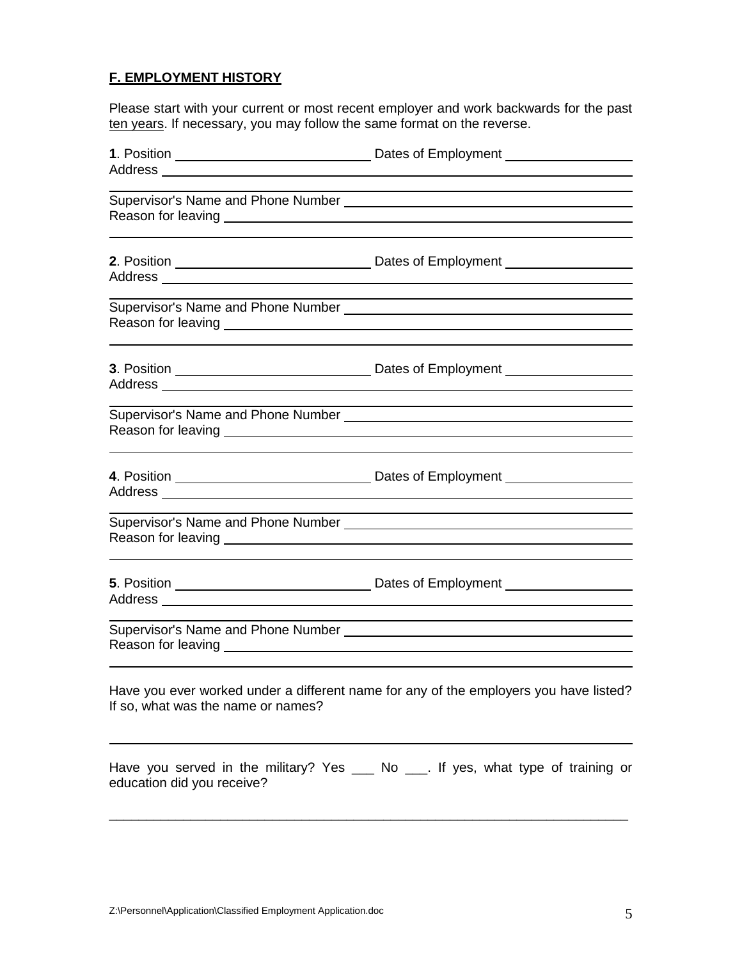# **F. EMPLOYMENT HISTORY**

Please start with your current or most recent employer and work backwards for the past ten years. If necessary, you may follow the same format on the reverse.

|                                    | Supervisor's Name and Phone Number [19] [19] Denian Materian Material Ann Materia Materia and Materia Materia A                                                                                                                      |
|------------------------------------|--------------------------------------------------------------------------------------------------------------------------------------------------------------------------------------------------------------------------------------|
|                                    |                                                                                                                                                                                                                                      |
|                                    |                                                                                                                                                                                                                                      |
|                                    |                                                                                                                                                                                                                                      |
|                                    | Reason for leaving <u>example and the set of the set of the set of the set of the set of the set of the set of the set of the set of the set of the set of the set of the set of the set of the set of the set of the set of the</u> |
|                                    |                                                                                                                                                                                                                                      |
|                                    |                                                                                                                                                                                                                                      |
| If so, what was the name or names? | Have you ever worked under a different name for any of the employers you have listed?                                                                                                                                                |
| education did you receive?         | Have you served in the military? Yes __ No __ If yes, what type of training or                                                                                                                                                       |

\_\_\_\_\_\_\_\_\_\_\_\_\_\_\_\_\_\_\_\_\_\_\_\_\_\_\_\_\_\_\_\_\_\_\_\_\_\_\_\_\_\_\_\_\_\_\_\_\_\_\_\_\_\_\_\_\_\_\_\_\_\_\_\_\_\_\_\_\_\_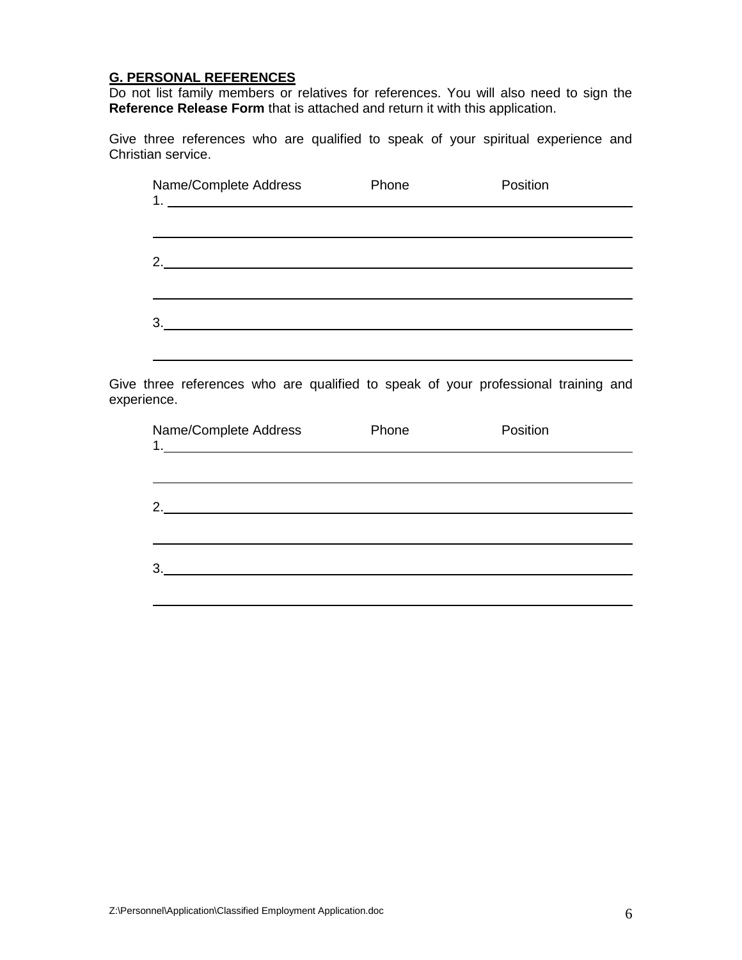# **G. PERSONAL REFERENCES**

Do not list family members or relatives for references. You will also need to sign the **Reference Release Form** that is attached and return it with this application.

Give three references who are qualified to speak of your spiritual experience and Christian service.

| Name/Complete Address | Phone | Position |  |
|-----------------------|-------|----------|--|
|                       |       |          |  |
| 2.                    |       |          |  |
|                       |       |          |  |
| 3.                    |       |          |  |

Give three references who are qualified to speak of your professional training and experience.

| Name/Complete Address                                         | Phone | Position |  |
|---------------------------------------------------------------|-------|----------|--|
|                                                               |       |          |  |
| 2.<br><u> 1989 - Johann Stein, fransk politiker (d. 1989)</u> |       |          |  |
| 3.                                                            |       |          |  |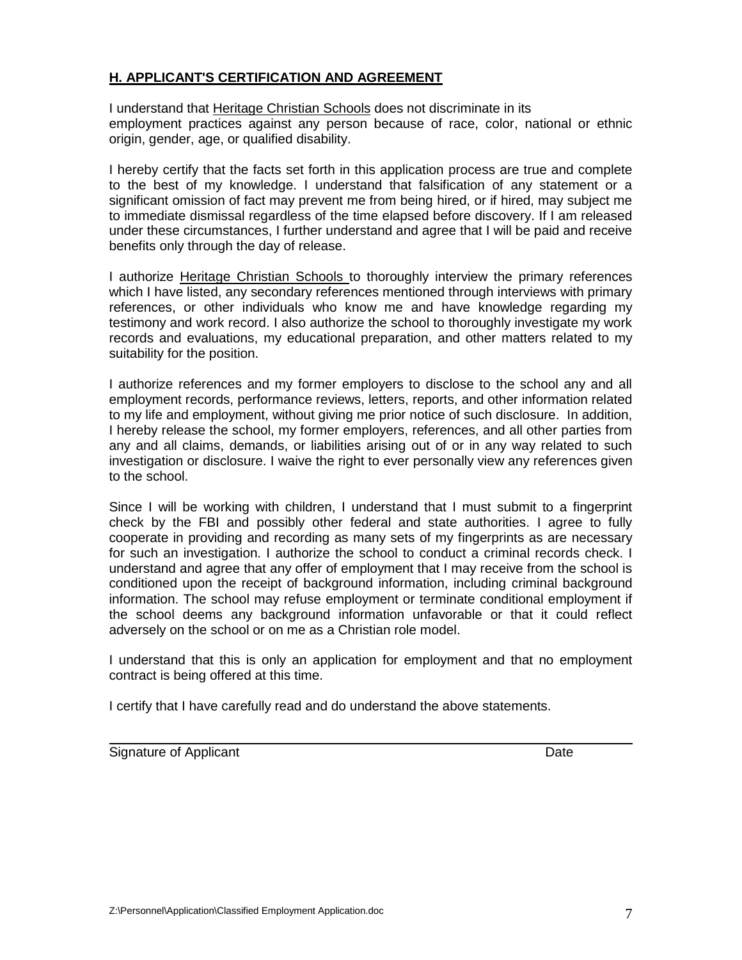## **H. APPLICANT'S CERTIFICATION AND AGREEMENT**

I understand that Heritage Christian Schools does not discriminate in its employment practices against any person because of race, color, national or ethnic origin, gender, age, or qualified disability.

I hereby certify that the facts set forth in this application process are true and complete to the best of my knowledge. I understand that falsification of any statement or a significant omission of fact may prevent me from being hired, or if hired, may subject me to immediate dismissal regardless of the time elapsed before discovery. If I am released under these circumstances, I further understand and agree that I will be paid and receive benefits only through the day of release.

I authorize Heritage Christian Schools to thoroughly interview the primary references which I have listed, any secondary references mentioned through interviews with primary references, or other individuals who know me and have knowledge regarding my testimony and work record. I also authorize the school to thoroughly investigate my work records and evaluations, my educational preparation, and other matters related to my suitability for the position.

I authorize references and my former employers to disclose to the school any and all employment records, performance reviews, letters, reports, and other information related to my life and employment, without giving me prior notice of such disclosure. In addition, I hereby release the school, my former employers, references, and all other parties from any and all claims, demands, or liabilities arising out of or in any way related to such investigation or disclosure. I waive the right to ever personally view any references given to the school.

Since I will be working with children, I understand that I must submit to a fingerprint check by the FBI and possibly other federal and state authorities. I agree to fully cooperate in providing and recording as many sets of my fingerprints as are necessary for such an investigation. I authorize the school to conduct a criminal records check. I understand and agree that any offer of employment that I may receive from the school is conditioned upon the receipt of background information, including criminal background information. The school may refuse employment or terminate conditional employment if the school deems any background information unfavorable or that it could reflect adversely on the school or on me as a Christian role model.

I understand that this is only an application for employment and that no employment contract is being offered at this time.

I certify that I have carefully read and do understand the above statements.

Signature of Applicant Date **Date of Applicant** Date Date Date Date Date Date Date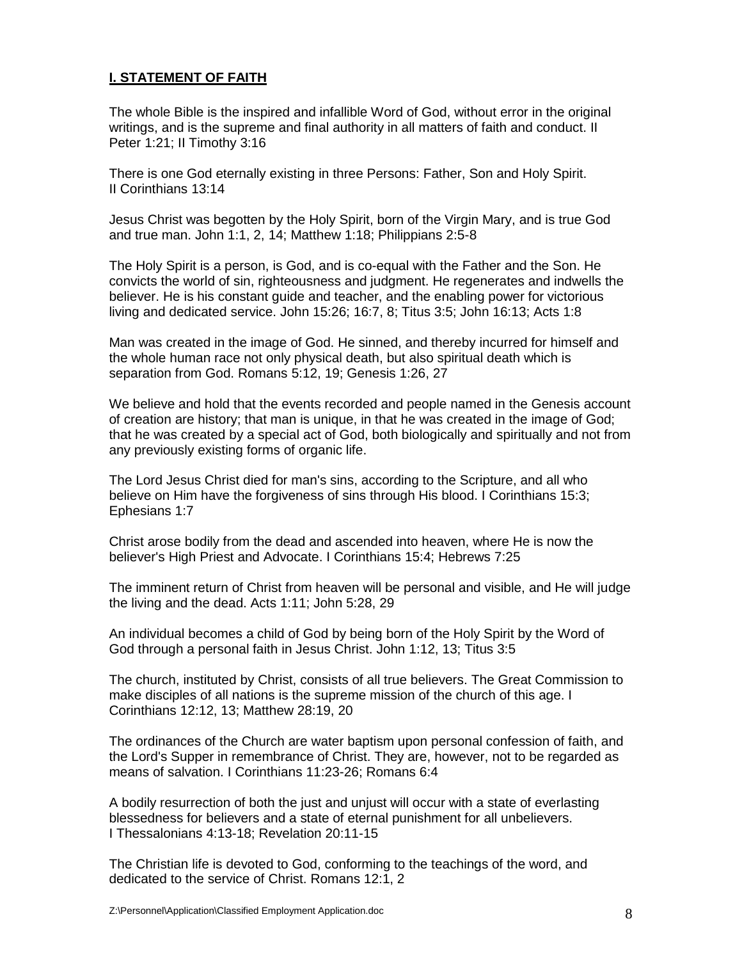# **I. STATEMENT OF FAITH**

The whole Bible is the inspired and infallible Word of God, without error in the original writings, and is the supreme and final authority in all matters of faith and conduct. II Peter 1:21; II Timothy 3:16

There is one God eternally existing in three Persons: Father, Son and Holy Spirit. II Corinthians 13:14

Jesus Christ was begotten by the Holy Spirit, born of the Virgin Mary, and is true God and true man. John 1:1, 2, 14; Matthew 1:18; Philippians 2:5-8

The Holy Spirit is a person, is God, and is co-equal with the Father and the Son. He convicts the world of sin, righteousness and judgment. He regenerates and indwells the believer. He is his constant guide and teacher, and the enabling power for victorious living and dedicated service. John 15:26; 16:7, 8; Titus 3:5; John 16:13; Acts 1:8

Man was created in the image of God. He sinned, and thereby incurred for himself and the whole human race not only physical death, but also spiritual death which is separation from God. Romans 5:12, 19; Genesis 1:26, 27

We believe and hold that the events recorded and people named in the Genesis account of creation are history; that man is unique, in that he was created in the image of God; that he was created by a special act of God, both biologically and spiritually and not from any previously existing forms of organic life.

The Lord Jesus Christ died for man's sins, according to the Scripture, and all who believe on Him have the forgiveness of sins through His blood. I Corinthians 15:3; Ephesians 1:7

Christ arose bodily from the dead and ascended into heaven, where He is now the believer's High Priest and Advocate. I Corinthians 15:4; Hebrews 7:25

The imminent return of Christ from heaven will be personal and visible, and He will judge the living and the dead. Acts 1:11; John 5:28, 29

An individual becomes a child of God by being born of the Holy Spirit by the Word of God through a personal faith in Jesus Christ. John 1:12, 13; Titus 3:5

The church, instituted by Christ, consists of all true believers. The Great Commission to make disciples of all nations is the supreme mission of the church of this age. I Corinthians 12:12, 13; Matthew 28:19, 20

The ordinances of the Church are water baptism upon personal confession of faith, and the Lord's Supper in remembrance of Christ. They are, however, not to be regarded as means of salvation. I Corinthians 11:23-26; Romans 6:4

A bodily resurrection of both the just and unjust will occur with a state of everlasting blessedness for believers and a state of eternal punishment for all unbelievers. I Thessalonians 4:13-18; Revelation 20:11-15

The Christian life is devoted to God, conforming to the teachings of the word, and dedicated to the service of Christ. Romans 12:1, 2